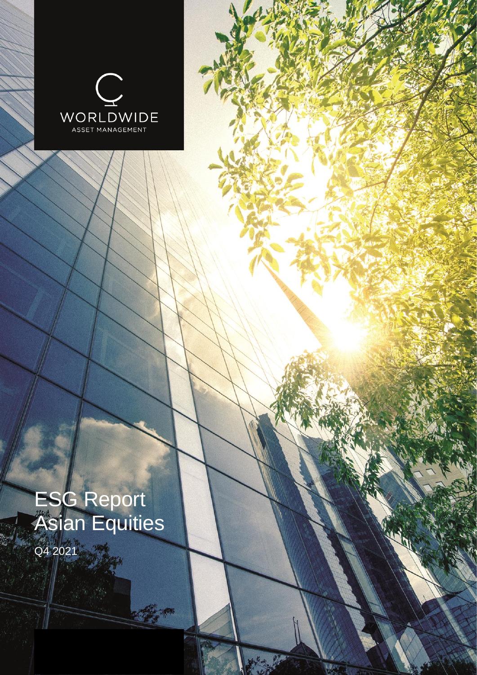

# ESG Report Asian Equities

C. C.

Q4 2021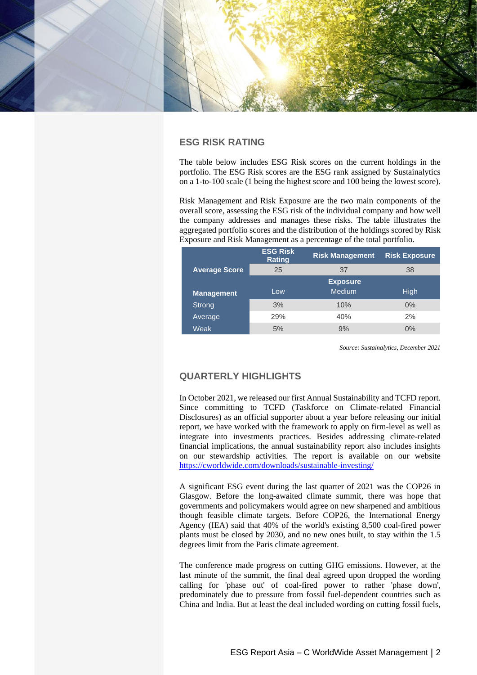

# **ESG RISK RATING**

The table below includes ESG Risk scores on the current holdings in the portfolio. The ESG Risk scores are the ESG rank assigned by Sustainalytics on a 1-to-100 scale (1 being the highest score and 100 being the lowest score).

Risk Management and Risk Exposure are the two main components of the overall score, assessing the ESG risk of the individual company and how well the company addresses and manages these risks. The table illustrates the aggregated portfolio scores and the distribution of the holdings scored by Risk Exposure and Risk Management as a percentage of the total portfolio.

|                      | <b>ESG Risk</b><br><b>Rating</b> | <b>Risk Management</b> | <b>Risk Exposure</b> |  |  |
|----------------------|----------------------------------|------------------------|----------------------|--|--|
| <b>Average Score</b> | 25                               | 37                     | 38                   |  |  |
|                      |                                  | <b>Exposure</b>        |                      |  |  |
| <b>Management</b>    | Low <sub>1</sub>                 | <b>Medium</b>          | <b>High</b>          |  |  |
| Strong               | 3%                               | 10%                    | $0\%$                |  |  |
| Average              | 29%                              | 40%                    | 2%                   |  |  |
| Weak                 | 5%                               | 9%                     | $0\%$                |  |  |

*Source: Sustainalytics, December 2021*

# **QUARTERLY HIGHLIGHTS**

In October 2021, we released our first Annual Sustainability and TCFD report. Since committing to TCFD (Taskforce on Climate-related Financial Disclosures) as an official supporter about a year before releasing our initial report, we have worked with the framework to apply on firm-level as well as integrate into investments practices. Besides addressing climate-related financial implications, the annual sustainability report also includes insights on our stewardship activities. The report is available on our website <https://cworldwide.com/downloads/sustainable-investing/>

A significant ESG event during the last quarter of 2021 was the COP26 in Glasgow. Before the long-awaited climate summit, there was hope that governments and policymakers would agree on new sharpened and ambitious though feasible climate targets. Before COP26, the International Energy Agency (IEA) said that 40% of the world's existing 8,500 coal-fired power plants must be closed by 2030, and no new ones built, to stay within the 1.5 degrees limit from the Paris climate agreement.

The conference made progress on cutting GHG emissions. However, at the last minute of the summit, the final deal agreed upon dropped the wording calling for 'phase out' of coal-fired power to rather 'phase down', predominately due to pressure from fossil fuel-dependent countries such as China and India. But at least the deal included wording on cutting fossil fuels,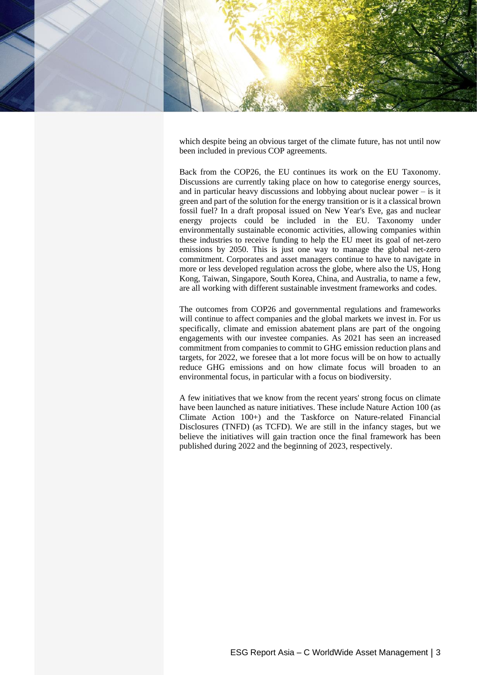

which despite being an obvious target of the climate future, has not until now been included in previous COP agreements.

Back from the COP26, the EU continues its work on the EU Taxonomy. Discussions are currently taking place on how to categorise energy sources, and in particular heavy discussions and lobbying about nuclear power – is it green and part of the solution for the energy transition or is it a classical brown fossil fuel? In a draft proposal issued on New Year's Eve, gas and nuclear energy projects could be included in the EU. Taxonomy under environmentally sustainable economic activities, allowing companies within these industries to receive funding to help the EU meet its goal of net-zero emissions by 2050. This is just one way to manage the global net-zero commitment. Corporates and asset managers continue to have to navigate in more or less developed regulation across the globe, where also the US, Hong Kong, Taiwan, Singapore, South Korea, China, and Australia, to name a few, are all working with different sustainable investment frameworks and codes.

The outcomes from COP26 and governmental regulations and frameworks will continue to affect companies and the global markets we invest in. For us specifically, climate and emission abatement plans are part of the ongoing engagements with our investee companies. As 2021 has seen an increased commitment from companies to commit to GHG emission reduction plans and targets, for 2022, we foresee that a lot more focus will be on how to actually reduce GHG emissions and on how climate focus will broaden to an environmental focus, in particular with a focus on biodiversity.

A few initiatives that we know from the recent years' strong focus on climate have been launched as nature initiatives. These include Nature Action 100 (as Climate Action 100+) and the Taskforce on Nature-related Financial Disclosures (TNFD) (as TCFD). We are still in the infancy stages, but we believe the initiatives will gain traction once the final framework has been published during 2022 and the beginning of 2023, respectively.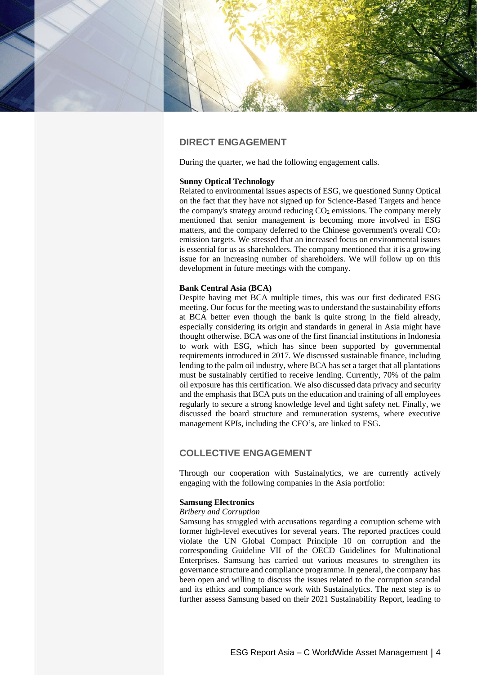

# **DIRECT ENGAGEMENT**

During the quarter, we had the following engagement calls.

## **Sunny Optical Technology**

Related to environmental issues aspects of ESG, we questioned Sunny Optical on the fact that they have not signed up for Science-Based Targets and hence the company's strategy around reducing  $CO<sub>2</sub>$  emissions. The company merely mentioned that senior management is becoming more involved in ESG matters, and the company deferred to the Chinese government's overall  $CO<sub>2</sub>$ emission targets. We stressed that an increased focus on environmental issues is essential for us as shareholders. The company mentioned that it is a growing issue for an increasing number of shareholders. We will follow up on this development in future meetings with the company.

## **Bank Central Asia (BCA)**

Despite having met BCA multiple times, this was our first dedicated ESG meeting. Our focus for the meeting was to understand the sustainability efforts at BCA better even though the bank is quite strong in the field already, especially considering its origin and standards in general in Asia might have thought otherwise. BCA was one of the first financial institutions in Indonesia to work with ESG, which has since been supported by governmental requirements introduced in 2017. We discussed sustainable finance, including lending to the palm oil industry, where BCA has set a target that all plantations must be sustainably certified to receive lending. Currently, 70% of the palm oil exposure has this certification. We also discussed data privacy and security and the emphasis that BCA puts on the education and training of all employees regularly to secure a strong knowledge level and tight safety net. Finally, we discussed the board structure and remuneration systems, where executive management KPIs, including the CFO's, are linked to ESG.

# **COLLECTIVE ENGAGEMENT**

Through our cooperation with Sustainalytics, we are currently actively engaging with the following companies in the Asia portfolio:

#### **Samsung Electronics**

#### *Bribery and Corruption*

Samsung has struggled with accusations regarding a corruption scheme with former high-level executives for several years. The reported practices could violate the UN Global Compact Principle 10 on corruption and the corresponding Guideline VII of the OECD Guidelines for Multinational Enterprises. Samsung has carried out various measures to strengthen its governance structure and compliance programme. In general, the company has been open and willing to discuss the issues related to the corruption scandal and its ethics and compliance work with Sustainalytics. The next step is to further assess Samsung based on their 2021 Sustainability Report, leading to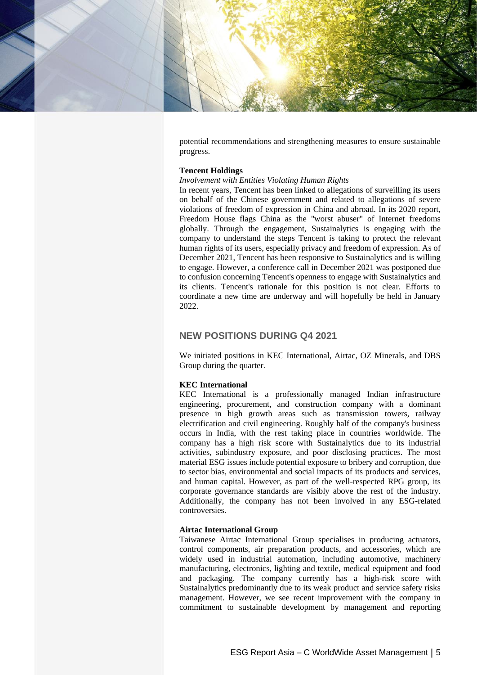

potential recommendations and strengthening measures to ensure sustainable progress.

## **Tencent Holdings**

## *Involvement with Entities Violating Human Rights*

In recent years, Tencent has been linked to allegations of surveilling its users on behalf of the Chinese government and related to allegations of severe violations of freedom of expression in China and abroad. In its 2020 report, Freedom House flags China as the "worst abuser" of Internet freedoms globally. Through the engagement, Sustainalytics is engaging with the company to understand the steps Tencent is taking to protect the relevant human rights of its users, especially privacy and freedom of expression. As of December 2021, Tencent has been responsive to Sustainalytics and is willing to engage. However, a conference call in December 2021 was postponed due to confusion concerning Tencent's openness to engage with Sustainalytics and its clients. Tencent's rationale for this position is not clear. Efforts to coordinate a new time are underway and will hopefully be held in January 2022.

# **NEW POSITIONS DURING Q4 2021**

We initiated positions in KEC International, Airtac, OZ Minerals, and DBS Group during the quarter.

# **KEC International**

KEC International is a professionally managed Indian infrastructure engineering, procurement, and construction company with a dominant presence in high growth areas such as transmission towers, railway electrification and civil engineering. Roughly half of the company's business occurs in India, with the rest taking place in countries worldwide. The company has a high risk score with Sustainalytics due to its industrial activities, subindustry exposure, and poor disclosing practices. The most material ESG issues include potential exposure to bribery and corruption, due to sector bias, environmental and social impacts of its products and services, and human capital. However, as part of the well-respected RPG group, its corporate governance standards are visibly above the rest of the industry. Additionally, the company has not been involved in any ESG-related controversies.

## **Airtac International Group**

Taiwanese Airtac International Group specialises in producing actuators, control components, air preparation products, and accessories, which are widely used in industrial automation, including automotive, machinery manufacturing, electronics, lighting and textile, medical equipment and food and packaging. The company currently has a high-risk score with Sustainalytics predominantly due to its weak product and service safety risks management. However, we see recent improvement with the company in commitment to sustainable development by management and reporting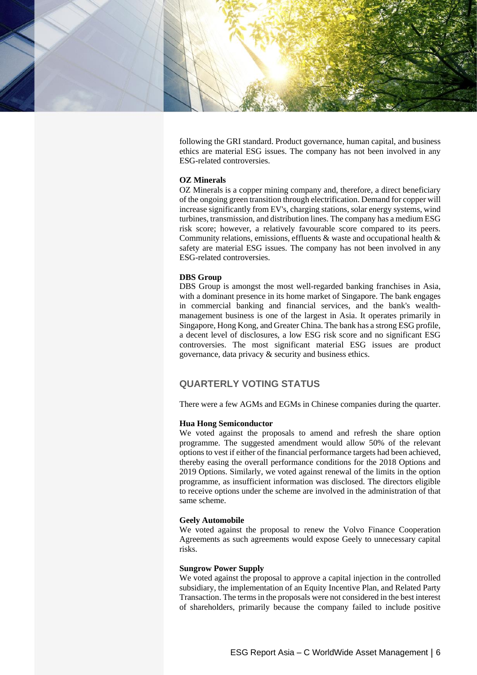

following the GRI standard. Product governance, human capital, and business ethics are material ESG issues. The company has not been involved in any ESG-related controversies.

# **OZ Minerals**

OZ Minerals is a copper mining company and, therefore, a direct beneficiary of the ongoing green transition through electrification. Demand for copper will increase significantly from EV's, charging stations, solar energy systems, wind turbines, transmission, and distribution lines. The company has a medium ESG risk score; however, a relatively favourable score compared to its peers. Community relations, emissions, effluents  $\&$  waste and occupational health  $\&$ safety are material ESG issues. The company has not been involved in any ESG-related controversies.

# **DBS Group**

DBS Group is amongst the most well-regarded banking franchises in Asia, with a dominant presence in its home market of Singapore. The bank engages in commercial banking and financial services, and the bank's wealthmanagement business is one of the largest in Asia. It operates primarily in Singapore, Hong Kong, and Greater China. The bank has a strong ESG profile, a decent level of disclosures, a low ESG risk score and no significant ESG controversies. The most significant material ESG issues are product governance, data privacy & security and business ethics.

# **QUARTERLY VOTING STATUS**

There were a few AGMs and EGMs in Chinese companies during the quarter.

## **Hua Hong Semiconductor**

We voted against the proposals to amend and refresh the share option programme. The suggested amendment would allow 50% of the relevant options to vest if either of the financial performance targets had been achieved, thereby easing the overall performance conditions for the 2018 Options and 2019 Options. Similarly, we voted against renewal of the limits in the option programme, as insufficient information was disclosed. The directors eligible to receive options under the scheme are involved in the administration of that same scheme.

#### **Geely Automobile**

We voted against the proposal to renew the Volvo Finance Cooperation Agreements as such agreements would expose Geely to unnecessary capital risks.

#### **Sungrow Power Supply**

We voted against the proposal to approve a capital injection in the controlled subsidiary, the implementation of an Equity Incentive Plan, and Related Party Transaction. The terms in the proposals were not considered in the best interest of shareholders, primarily because the company failed to include positive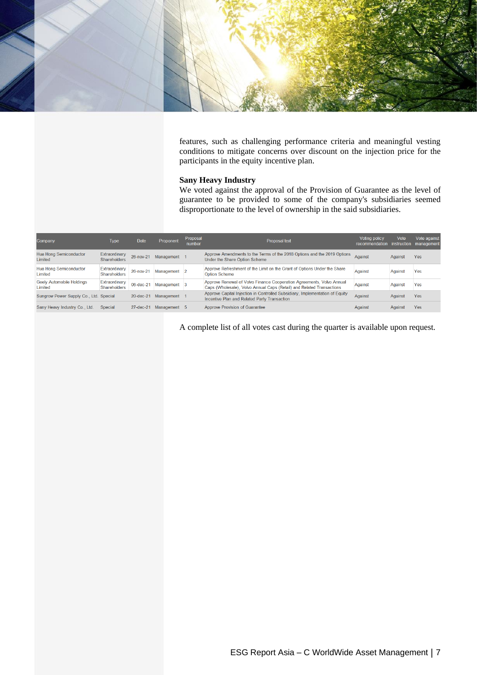

features, such as challenging performance criteria and meaningful vesting conditions to mitigate concerns over discount on the injection price for the participants in the equity incentive plan.

# **Sany Heavy Industry**

We voted against the approval of the Provision of Guarantee as the level of guarantee to be provided to some of the company's subsidiaries seemed disproportionate to the level of ownership in the said subsidiaries.

| Company                                     | Type                                 | <b>Date</b>     | Proponent    | Proposal<br>number | Proposal text                                                                                                                                  | Voting policy<br>recommendation instruction | Vote    | Vote against<br>management |
|---------------------------------------------|--------------------------------------|-----------------|--------------|--------------------|------------------------------------------------------------------------------------------------------------------------------------------------|---------------------------------------------|---------|----------------------------|
| <b>Hua Hong Semiconductor</b><br>Limited    | Extraordinary<br><b>Shareholders</b> | $26 - nov - 21$ | Management 1 |                    | Approve Amendments to the Terms of the 2018 Options and the 2019 Options<br>Under the Share Option Scheme                                      | Against                                     | Against | Yes                        |
| <b>Hua Hong Semiconductor</b><br>Limited    | Extraordinary<br><b>Shareholders</b> | $26 - nov - 21$ | Management 2 |                    | Approve Refreshment of the Limit on the Grant of Options Under the Share<br><b>Option Scheme</b>                                               | Against                                     | Against | Yes                        |
| <b>Geely Automobile Holdings</b><br>Limited | Extraordinary<br>Shareholders        | $06$ -dec-21    | Management 3 |                    | Approve Renewal of Volvo Finance Cooperation Agreements, Volvo Annual<br>Caps (Wholesale), Volvo Annual Caps (Retail) and Related Transactions | Against                                     | Against | Yes                        |
| Sungrow Power Supply Co., Ltd. Special      |                                      | $20$ -dec- $21$ | Management   |                    | Approve Capital Injection in Controlled Subsidiary, Implementation of Equity<br>Incentive Plan and Related Party Transaction                   | Against                                     | Against | Yes                        |
| Sany Heavy Industry Co., Ltd.               | Special                              | $27$ -dec-21    | Management 5 |                    | Approve Provision of Guarantee                                                                                                                 | Against                                     | Against | Yes                        |

A complete list of all votes cast during the quarter is available upon request.